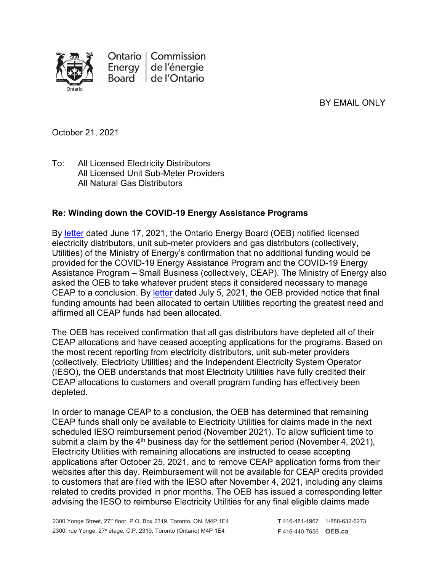

BY EMAIL ONLY

October 21, 2021

To: All Licensed Electricity Distributors All Licensed Unit Sub-Meter Providers All Natural Gas Distributors

## **Re: Winding down the COVID-19 Energy Assistance Programs**

By [letter](https://www.oeb.ca/sites/default/files/OEB-ltr-Update-CEAP-Funding-20210617.pdf) dated June 17, 2021, the Ontario Energy Board (OEB) notified licensed electricity distributors, unit sub-meter providers and gas distributors (collectively, Utilities) of the Ministry of Energy's confirmation that no additional funding would be provided for the COVID-19 Energy Assistance Program and the COVID-19 Energy Assistance Program – Small Business (collectively, CEAP). The Ministry of Energy also asked the OEB to take whatever prudent steps it considered necessary to manage CEAP to a conclusion. By [letter](https://www.oeb.ca/sites/default/files/OEBltr-Final-CEAP-Allocation-20210705.pdf) dated July 5, 2021, the OEB provided notice that final funding amounts had been allocated to certain Utilities reporting the greatest need and affirmed all CEAP funds had been allocated.

The OEB has received confirmation that all gas distributors have depleted all of their CEAP allocations and have ceased accepting applications for the programs. Based on the most recent reporting from electricity distributors, unit sub-meter providers (collectively, Electricity Utilities) and the Independent Electricity System Operator (IESO), the OEB understands that most Electricity Utilities have fully credited their CEAP allocations to customers and overall program funding has effectively been depleted.

In order to manage CEAP to a conclusion, the OEB has determined that remaining CEAP funds shall only be available to Electricity Utilities for claims made in the next scheduled IESO reimbursement period (November 2021). To allow sufficient time to submit a claim by the  $4<sup>th</sup>$  business day for the settlement period (November 4, 2021), Electricity Utilities with remaining allocations are instructed to cease accepting applications after October 25, 2021, and to remove CEAP application forms from their websites after this day. Reimbursement will not be available for CEAP credits provided to customers that are filed with the IESO after November 4, 2021, including any claims related to credits provided in prior months. The OEB has issued a corresponding letter advising the IESO to reimburse Electricity Utilities for any final eligible claims made